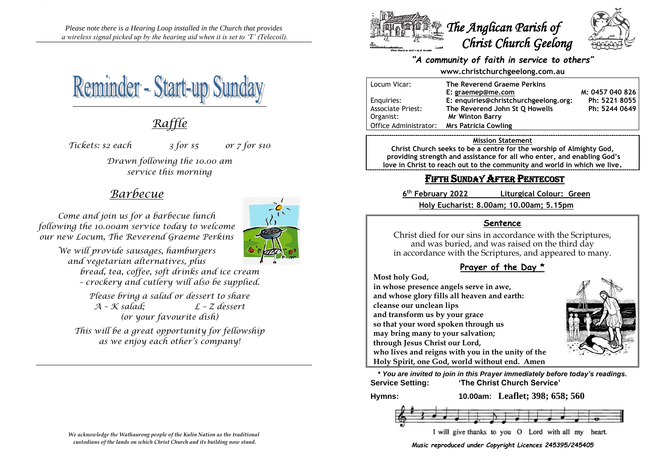*Please note there is a Hearing Loop installed in the Church that provides a wireless signal picked up by the hearing aid when it is set to 'T' (Telecoil).*



# *Raffle*

*Tickets: \$2 each 3 for \$5 or 7 for \$10*

*Drawn following the 10.00 am service this morning*

## *Barbecue*

*Come and join us for a barbecue lunch following the 10.00am service today to welcome our new Locum, The Reverend Graeme Perkins*



*We will provide sausages, hamburgers and vegetarian alternatives, plus*

> *bread, tea, coffee, soft drinks and ice cream – crockery and cutlery will also be supplied.*

*Please bring a salad or dessert to share A – K salad; L – Z dessert (or your favourite dish)*

*This will be a great opportunity for fellowship as we enjoy each other's company!*



### *"A community of faith in service to others"*

**www.christchurchgeelong.com.au**

| Locum Vicar:             | The Reverend Graeme Perkins           |                 |
|--------------------------|---------------------------------------|-----------------|
|                          | E: graemep@me.com                     | M: 0457 040 826 |
| Enguiries:               | E: enquiries@christchurchgeelong.org: | Ph: 5221 8055   |
| <b>Associate Priest:</b> | The Reverend John St O Howells        | Ph: 5244 0649   |
| Organist:                | <b>Mr Winton Barry</b>                |                 |
| Office Administrator:    | <b>Mrs Patricia Cowling</b>           |                 |

#### **Mission Statement**

**Christ Church seeks to be a centre for the worship of Almighty God, providing strength and assistance for all who enter, and enabling God's love in Christ to reach out to the community and world in which we live.**

## FIFTH SUNDAY AFTER PENTECOST

6<sup>th</sup> February 2022 **th February 2022 Liturgical Colour: Green Holy Eucharist: 8.00am; 10.00am; 5.15pm**

### **Sentence**

Christ died for our sins in accordance with the Scriptures, and was buried, and was raised on the third day in accordance with the Scriptures, and appeared to many.

## **Prayer of the Day \***

**Most holy God,**

**in whose presence angels serve in awe, and whose glory fills all heaven and earth: cleanse our unclean lips and transform us by your grace so that your word spoken through us may bring many to your salvation; through Jesus Christ our Lord, who lives and reigns with you in the unity of the Holy Spirit, one God, world without end. Amen**



**\*** *You are invited to join in this Prayer immediately before today's readings.* **Service Setting: 'The Christ Church Service'**

**Hymns: 10.00am: Leaflet; 398; 658; 560**



*Music reproduced under Copyright Licences 245395/245405*